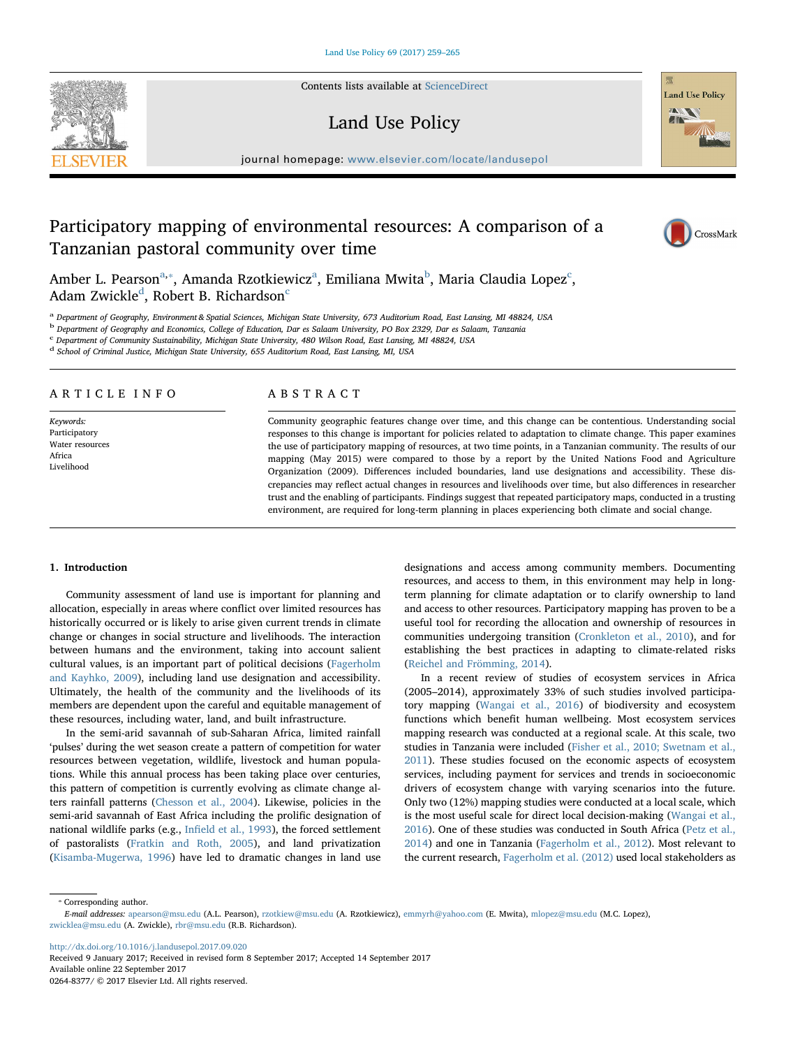Contents lists available at [ScienceDirect](http://www.sciencedirect.com/science/journal/02648377)

# Land Use Policy

journal homepage: [www.elsevier.com/locate/landusepol](https://www.elsevier.com/locate/landusepol)

# Participatory mapping of environmental resources: A comparison of a Tanzanian pastoral community over time

Amber L. Pe[a](#page-0-0)rson $\mathrm{^{a,*}}$ , Amanda Rzotkiewi[c](#page-0-3)z $\mathrm{^{a}}$ , Emiliana Mwita $\mathrm{^{b}}$  $\mathrm{^{b}}$  $\mathrm{^{b}}$ , Maria Claudia Lopez $\mathrm{^{c}}$ , A[d](#page-0-4)am Zwi[c](#page-0-3)kle<sup>d</sup>, Robert B. Richardson<sup>c</sup>

<span id="page-0-0"></span><sup>a</sup> Department of Geography, Environment & Spatial Sciences, Michigan State University, 673 Auditorium Road, East Lansing, MI 48824, USA

<span id="page-0-2"></span><sup>b</sup> Department of Geography and Economics, College of Education, Dar es Salaam University, PO Box 2329, Dar es Salaam, Tanzania

<span id="page-0-3"></span><sup>c</sup> Department of Community Sustainability, Michigan State University, 480 Wilson Road, East Lansing, MI 48824, USA

<span id="page-0-4"></span><sup>d</sup> School of Criminal Justice, Michigan State University, 655 Auditorium Road, East Lansing, MI, USA

## ARTICLE INFO

Keywords: Participatory Water resources Africa Livelihood

## ABSTRACT

Community geographic features change over time, and this change can be contentious. Understanding social responses to this change is important for policies related to adaptation to climate change. This paper examines the use of participatory mapping of resources, at two time points, in a Tanzanian community. The results of our mapping (May 2015) were compared to those by a report by the United Nations Food and Agriculture Organization (2009). Differences included boundaries, land use designations and accessibility. These discrepancies may reflect actual changes in resources and livelihoods over time, but also differences in researcher trust and the enabling of participants. Findings suggest that repeated participatory maps, conducted in a trusting environment, are required for long-term planning in places experiencing both climate and social change.

### 1. Introduction

Community assessment of land use is important for planning and allocation, especially in areas where conflict over limited resources has historically occurred or is likely to arise given current trends in climate change or changes in social structure and livelihoods. The interaction between humans and the environment, taking into account salient cultural values, is an important part of political decisions [\(Fagerholm](#page--1-0) [and Kayhko, 2009](#page--1-0)), including land use designation and accessibility. Ultimately, the health of the community and the livelihoods of its members are dependent upon the careful and equitable management of these resources, including water, land, and built infrastructure.

In the semi-arid savannah of sub-Saharan Africa, limited rainfall 'pulses' during the wet season create a pattern of competition for water resources between vegetation, wildlife, livestock and human populations. While this annual process has been taking place over centuries, this pattern of competition is currently evolving as climate change alters rainfall patterns ([Chesson et al., 2004](#page--1-1)). Likewise, policies in the semi-arid savannah of East Africa including the prolific designation of national wildlife parks (e.g., Infi[eld et al., 1993\)](#page--1-2), the forced settlement of pastoralists [\(Fratkin and Roth, 2005](#page--1-3)), and land privatization ([Kisamba-Mugerwa, 1996\)](#page--1-4) have led to dramatic changes in land use designations and access among community members. Documenting resources, and access to them, in this environment may help in longterm planning for climate adaptation or to clarify ownership to land and access to other resources. Participatory mapping has proven to be a useful tool for recording the allocation and ownership of resources in communities undergoing transition ([Cronkleton et al., 2010\)](#page--1-5), and for establishing the best practices in adapting to climate-related risks ([Reichel and Frömming, 2014](#page--1-6)).

In a recent review of studies of ecosystem services in Africa (2005–2014), approximately 33% of such studies involved participatory mapping ([Wangai et al., 2016](#page--1-7)) of biodiversity and ecosystem functions which benefit human wellbeing. Most ecosystem services mapping research was conducted at a regional scale. At this scale, two studies in Tanzania were included [\(Fisher et al., 2010; Swetnam et al.,](#page--1-8) [2011\)](#page--1-8). These studies focused on the economic aspects of ecosystem services, including payment for services and trends in socioeconomic drivers of ecosystem change with varying scenarios into the future. Only two (12%) mapping studies were conducted at a local scale, which is the most useful scale for direct local decision-making ([Wangai et al.,](#page--1-7) [2016\)](#page--1-7). One of these studies was conducted in South Africa [\(Petz et al.,](#page--1-9) [2014\)](#page--1-9) and one in Tanzania [\(Fagerholm et al., 2012\)](#page--1-10). Most relevant to the current research, [Fagerholm et al. \(2012\)](#page--1-10) used local stakeholders as

<span id="page-0-1"></span>⁎ Corresponding author.

<http://dx.doi.org/10.1016/j.landusepol.2017.09.020>

Received 9 January 2017; Received in revised form 8 September 2017; Accepted 14 September 2017 Available online 22 September 2017 0264-8377/ © 2017 Elsevier Ltd. All rights reserved.





CrossMark

E-mail addresses: [apearson@msu.edu](mailto:apearson@msu.edu) (A.L. Pearson), [rzotkiew@msu.edu](mailto:rzotkiew@msu.edu) (A. Rzotkiewicz), [emmyrh@yahoo.com](mailto:emmyrh@yahoo.com) (E. Mwita), [mlopez@msu.edu](mailto:mlopez@msu.edu) (M.C. Lopez), [zwicklea@msu.edu](mailto:zwicklea@msu.edu) (A. Zwickle), [rbr@msu.edu](mailto:rbr@msu.edu) (R.B. Richardson).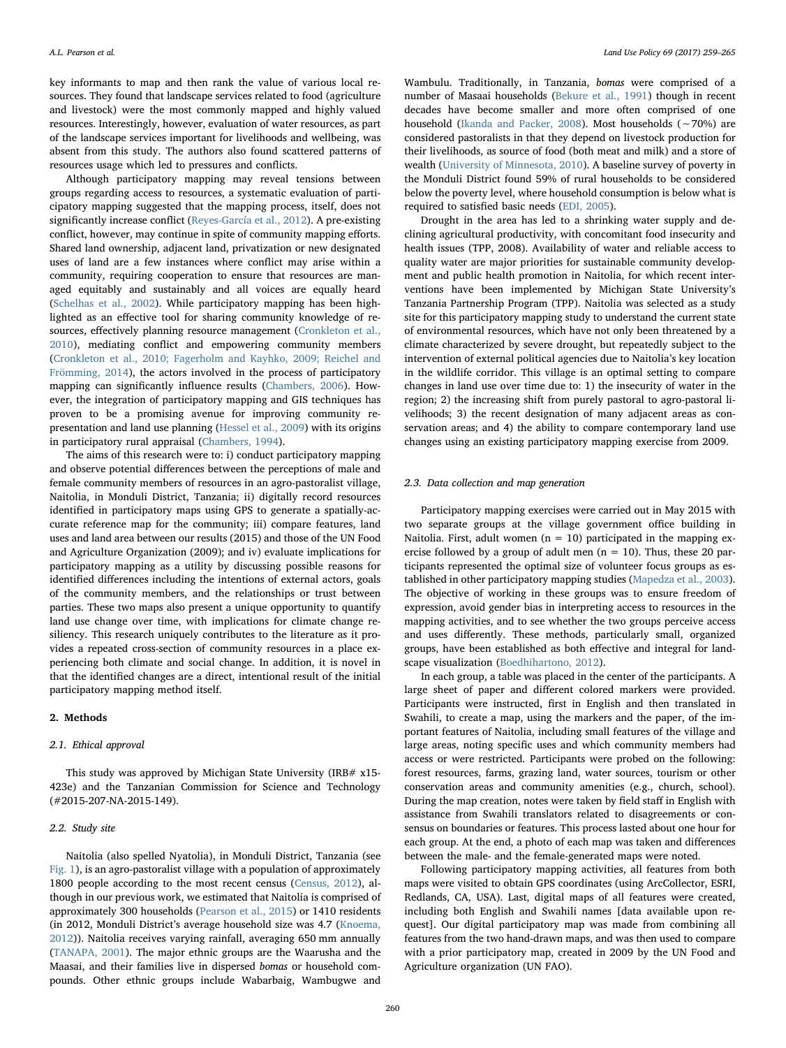key informants to map and then rank the value of various local resources. They found that landscape services related to food (agriculture and livestock) were the most commonly mapped and highly valued resources. Interestingly, however, evaluation of water resources, as part of the landscape services important for livelihoods and wellbeing, was absent from this study. The authors also found scattered patterns of resources usage which led to pressures and conflicts.

Although participatory mapping may reveal tensions between groups regarding access to resources, a systematic evaluation of participatory mapping suggested that the mapping process, itself, does not significantly increase conflict [\(Reyes-García et al., 2012\)](#page--1-11). A pre-existing conflict, however, may continue in spite of community mapping efforts. Shared land ownership, adjacent land, privatization or new designated uses of land are a few instances where conflict may arise within a community, requiring cooperation to ensure that resources are managed equitably and sustainably and all voices are equally heard ([Schelhas et al., 2002](#page--1-12)). While participatory mapping has been highlighted as an effective tool for sharing community knowledge of re-sources, effectively planning resource management [\(Cronkleton et al.,](#page--1-5) [2010\)](#page--1-5), mediating conflict and empowering community members ([Cronkleton et al., 2010; Fagerholm and Kayhko, 2009; Reichel and](#page--1-5) [Frömming, 2014\)](#page--1-5), the actors involved in the process of participatory mapping can significantly influence results ([Chambers, 2006\)](#page--1-13). However, the integration of participatory mapping and GIS techniques has proven to be a promising avenue for improving community representation and land use planning [\(Hessel et al., 2009\)](#page--1-14) with its origins in participatory rural appraisal [\(Chambers, 1994](#page--1-15)).

The aims of this research were to: i) conduct participatory mapping and observe potential differences between the perceptions of male and female community members of resources in an agro-pastoralist village, Naitolia, in Monduli District, Tanzania; ii) digitally record resources identified in participatory maps using GPS to generate a spatially-accurate reference map for the community; iii) compare features, land uses and land area between our results (2015) and those of the UN Food and Agriculture Organization (2009); and iv) evaluate implications for participatory mapping as a utility by discussing possible reasons for identified differences including the intentions of external actors, goals of the community members, and the relationships or trust between parties. These two maps also present a unique opportunity to quantify land use change over time, with implications for climate change resiliency. This research uniquely contributes to the literature as it provides a repeated cross-section of community resources in a place experiencing both climate and social change. In addition, it is novel in that the identified changes are a direct, intentional result of the initial participatory mapping method itself.

#### 2. Methods

#### 2.1. Ethical approval

This study was approved by Michigan State University (IRB# x15- 423e) and the Tanzanian Commission for Science and Technology (#2015-207-NA-2015-149).

#### 2.2. Study site

Naitolia (also spelled Nyatolia), in Monduli District, Tanzania (see [Fig. 1](#page--1-16)), is an agro-pastoralist village with a population of approximately 1800 people according to the most recent census [\(Census, 2012](#page--1-16)), although in our previous work, we estimated that Naitolia is comprised of approximately 300 households ([Pearson et al., 2015\)](#page--1-17) or 1410 residents (in 2012, Monduli District's average household size was 4.7 ([Knoema,](#page--1-18) [2012\)](#page--1-18)). Naitolia receives varying rainfall, averaging 650 mm annually ([TANAPA, 2001](#page--1-19)). The major ethnic groups are the Waarusha and the Maasai, and their families live in dispersed bomas or household compounds. Other ethnic groups include Wabarbaig, Wambugwe and

Wambulu. Traditionally, in Tanzania, bomas were comprised of a number of Masaai households [\(Bekure et al., 1991](#page--1-20)) though in recent decades have become smaller and more often comprised of one household [\(Ikanda and Packer, 2008\)](#page--1-21). Most households (∼70%) are considered pastoralists in that they depend on livestock production for their livelihoods, as source of food (both meat and milk) and a store of wealth ([University of Minnesota, 2010\)](#page--1-22). A baseline survey of poverty in the Monduli District found 59% of rural households to be considered below the poverty level, where household consumption is below what is required to satisfied basic needs ([EDI, 2005](#page--1-23)).

Drought in the area has led to a shrinking water supply and declining agricultural productivity, with concomitant food insecurity and health issues (TPP, 2008). Availability of water and reliable access to quality water are major priorities for sustainable community development and public health promotion in Naitolia, for which recent interventions have been implemented by Michigan State University's Tanzania Partnership Program (TPP). Naitolia was selected as a study site for this participatory mapping study to understand the current state of environmental resources, which have not only been threatened by a climate characterized by severe drought, but repeatedly subject to the intervention of external political agencies due to Naitolia's key location in the wildlife corridor. This village is an optimal setting to compare changes in land use over time due to: 1) the insecurity of water in the region; 2) the increasing shift from purely pastoral to agro-pastoral livelihoods; 3) the recent designation of many adjacent areas as conservation areas; and 4) the ability to compare contemporary land use changes using an existing participatory mapping exercise from 2009.

#### 2.3. Data collection and map generation

Participatory mapping exercises were carried out in May 2015 with two separate groups at the village government office building in Naitolia. First, adult women  $(n = 10)$  participated in the mapping exercise followed by a group of adult men ( $n = 10$ ). Thus, these 20 participants represented the optimal size of volunteer focus groups as established in other participatory mapping studies ([Mapedza et al., 2003](#page--1-24)). The objective of working in these groups was to ensure freedom of expression, avoid gender bias in interpreting access to resources in the mapping activities, and to see whether the two groups perceive access and uses differently. These methods, particularly small, organized groups, have been established as both effective and integral for landscape visualization [\(Boedhihartono, 2012](#page--1-25)).

In each group, a table was placed in the center of the participants. A large sheet of paper and different colored markers were provided. Participants were instructed, first in English and then translated in Swahili, to create a map, using the markers and the paper, of the important features of Naitolia, including small features of the village and large areas, noting specific uses and which community members had access or were restricted. Participants were probed on the following: forest resources, farms, grazing land, water sources, tourism or other conservation areas and community amenities (e.g., church, school). During the map creation, notes were taken by field staff in English with assistance from Swahili translators related to disagreements or consensus on boundaries or features. This process lasted about one hour for each group. At the end, a photo of each map was taken and differences between the male- and the female-generated maps were noted.

Following participatory mapping activities, all features from both maps were visited to obtain GPS coordinates (using ArcCollector, ESRI, Redlands, CA, USA). Last, digital maps of all features were created, including both English and Swahili names [data available upon request]. Our digital participatory map was made from combining all features from the two hand-drawn maps, and was then used to compare with a prior participatory map, created in 2009 by the UN Food and Agriculture organization (UN FAO).